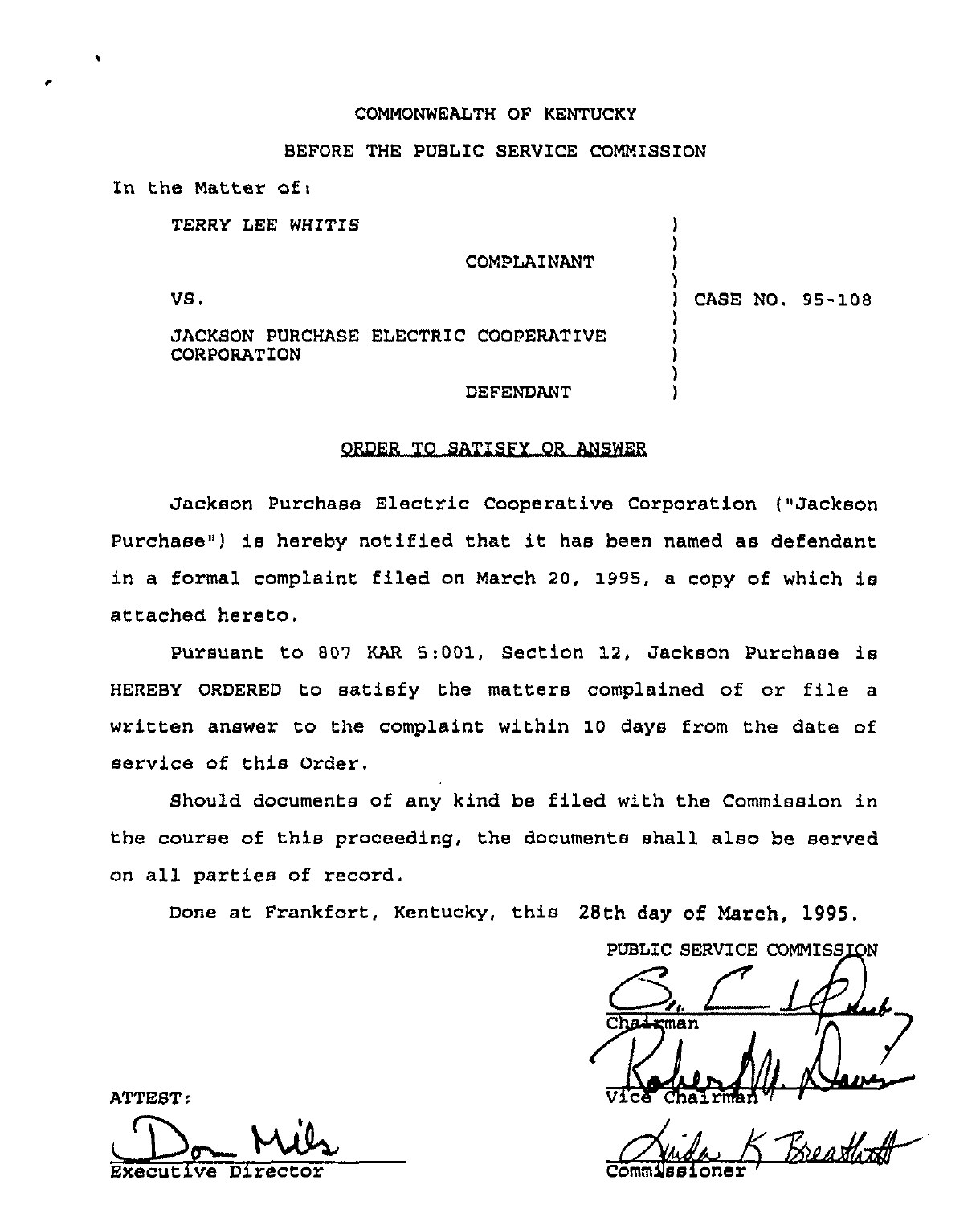## COMMONWEALTH OF KENTUCKY

## BEFORE THE PUBLIC SERVICE COMMISSION

| In the Matter of:                                           |                  |  |                 |
|-------------------------------------------------------------|------------------|--|-----------------|
| TERRY LEE WHITIS                                            |                  |  |                 |
|                                                             | COMPLAINANT      |  |                 |
| VS.                                                         |                  |  | CASE NO. 95-108 |
| <b>JACKSON PURCHASE ELECTRIC COOPERATIVE</b><br>CORPORATION |                  |  |                 |
|                                                             | <b>DEFENDANT</b> |  |                 |

#### ORDER TO SATISFY OR ANSWER

Jackson Purchase Electric Cooperative Corporation ("Jackson Purchase") is hereby notified that it has been named as defendant in a formal complaint filed on March 20, 1995, a copy of which is attached hereto.

Pursuant to 809 KAR 5:001, Section 12, Jackson Purchase is HEREBY ORDERED to satisfy the matters complained of or file a written answer to the complaint within 10 days from the date of service of this Order.

Should documents of any kind be filed with the Commission in the course of this proceeding, the documents shall also be served on all parties of record.

Done at Frankfort, Kentucky, this 28th day of March, 1995.

PUBLIC SERVICE COMMISSION ATTEST: <sup>man</sup><br>Chal rman<sup>4</sup>

Executive Director Commissioner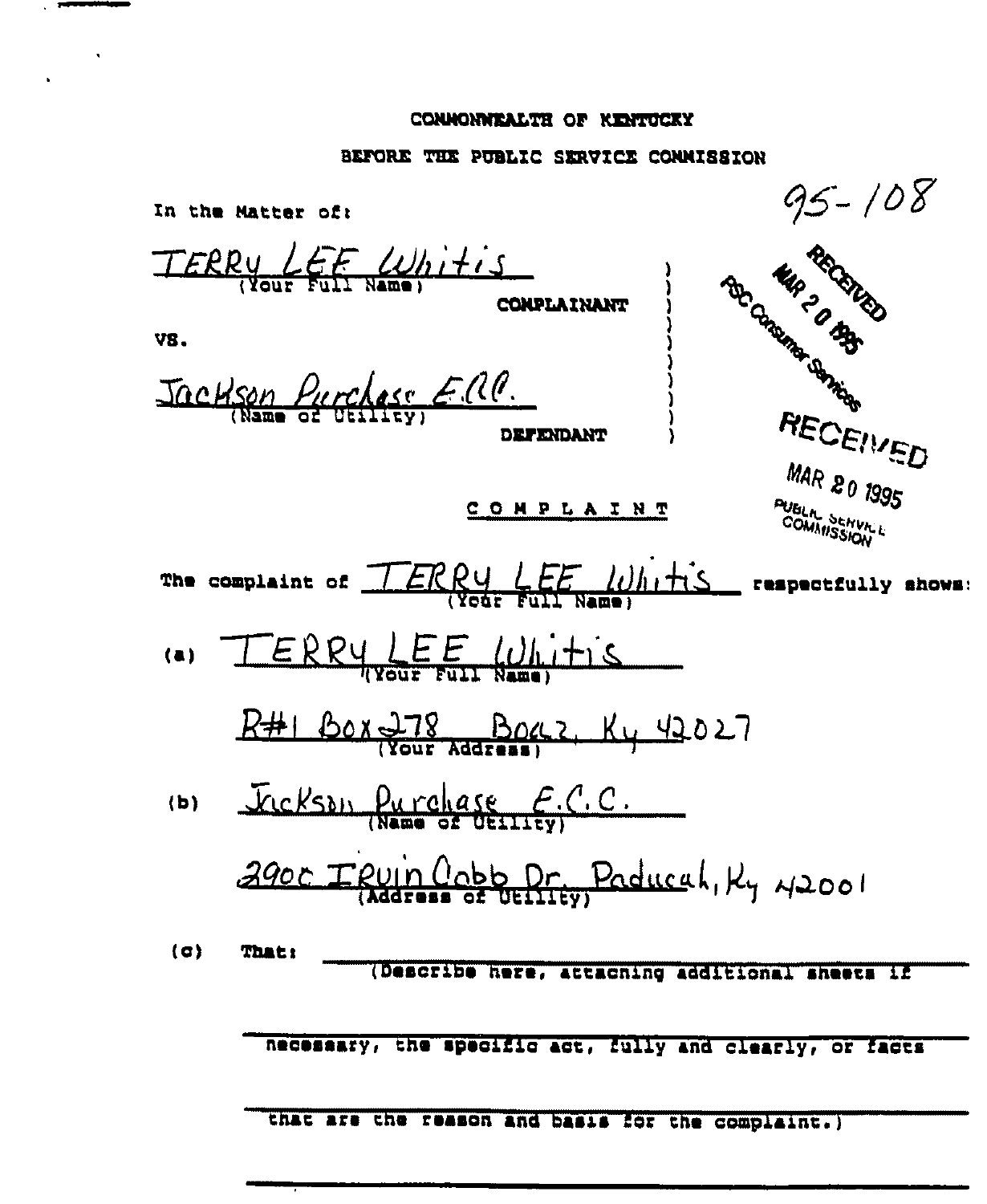# CONNONWEALTH OF KENTUCKY

 $\overline{\phantom{a}}$  , and the continuum of  $\overline{\phantom{a}}$ 

 $\mathcal{L}^{\text{max}}_{\text{max}}$ 

 $\ddot{\phantom{0}}$ 

# BEFORE THE PUBLIC SERVICE CONNISSION

| In the Matter of: |                                                           |                                                   | 95 - 108                                                 |
|-------------------|-----------------------------------------------------------|---------------------------------------------------|----------------------------------------------------------|
|                   | TERRY LEF Whitis                                          | CONPLAINANT                                       | TON BOOM STATES                                          |
| VS.               |                                                           |                                                   |                                                          |
|                   | Jackson Purchase E.M.                                     | <b>DEFENDANT</b>                                  | RECEIVED                                                 |
|                   |                                                           | <u>COMPLAINT</u>                                  | MAR 20 1995<br>PUBLIC SENVICE                            |
|                   | The complaint of                                          | ERRY LEE Whitis                                   | respectfully shows:                                      |
|                   | $ERRY, \underbrace{LEE}_{Rult} \underbrace{Uh, H}_{Rmax}$ |                                                   |                                                          |
|                   |                                                           | BOX 278 BOCCZ, Ky 42027                           |                                                          |
| (b)               |                                                           | Fickson Purchase E.C.C.                           |                                                          |
|                   |                                                           | 2900 TRUIN Cobb Pr. Paducah, Ky 42001             |                                                          |
| (0)               | <b>That:</b>                                              | (Describe here, attaching additional sheets if    |                                                          |
|                   |                                                           |                                                   |                                                          |
|                   |                                                           |                                                   | necessary, the specific act, fully and clearly, or facts |
|                   |                                                           | that are the reason and basis for the complaint.) |                                                          |
|                   |                                                           |                                                   |                                                          |
|                   |                                                           |                                                   |                                                          |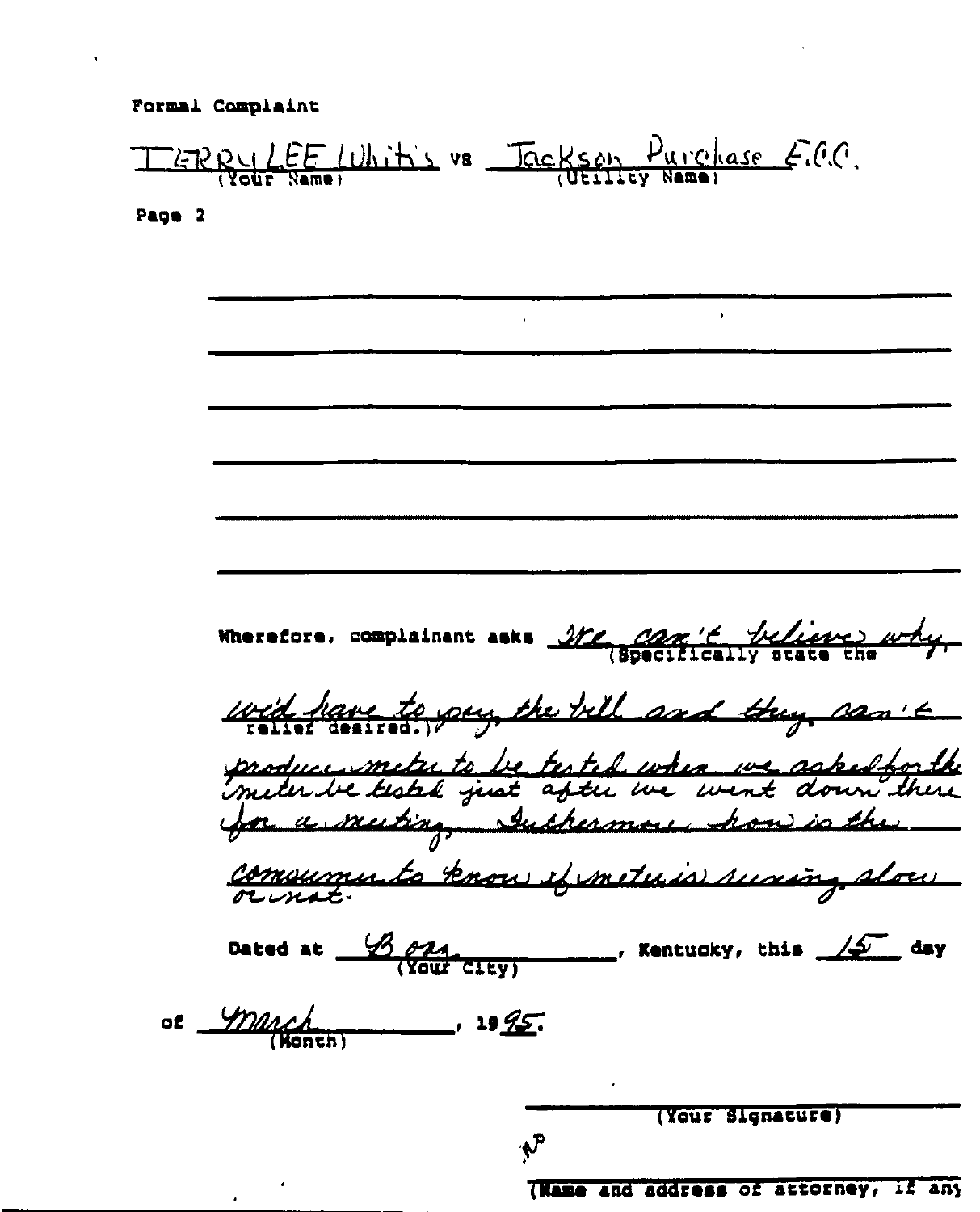

Page 2

Wherefore, complainant asks Me, com't telieve why. wid have to pay the bill and they san't produce meter to be tested when we asked for the<br>meter be tested just after we went down there for a muting, suchermore how is the communicato know efinituris surving slow Dated at  $\frac{\mathcal{B}}{\sqrt{\text{Cavity}}}$   $\frac{\partial \mathcal{A}}{\partial \text{curl}}$   $\frac{\partial \mathcal{A}}{\partial \text{curl}}$   $\frac{\partial \mathcal{A}}{\partial \text{curl}}$ of march  $-$  19 <u>IS</u>.

(Your Signature)

 $\mathbf{v}$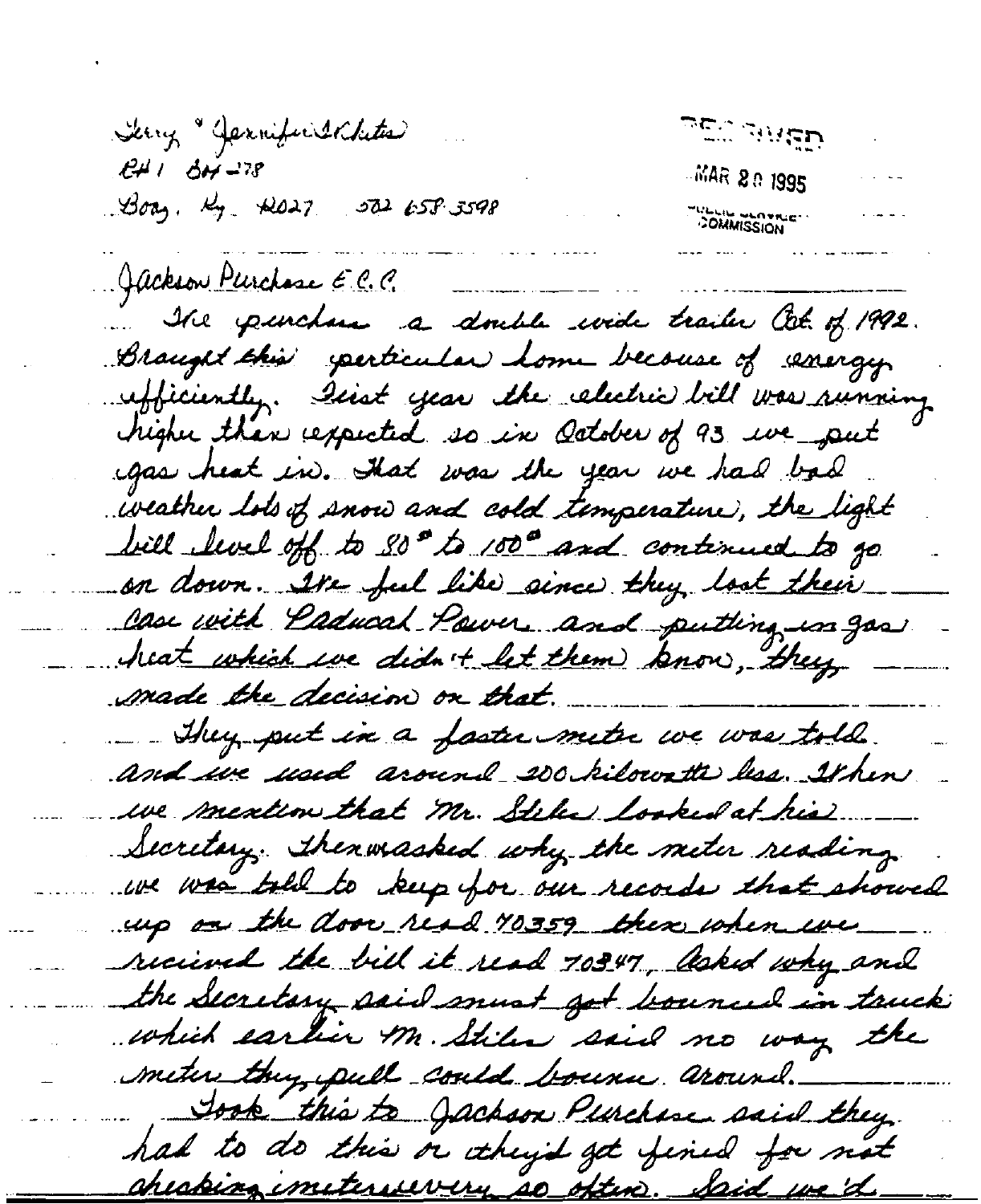<u> טבוה השפ</u> Serry "Jernific Indutes  $RH1$   $\Delta H^{-178}$ **MAR 20 1995**  $30a_3$ ,  $k_7$   $k027$   $502653598$ **COMMISSION** Gackson Purchase E.C.C. He purchase a double wide trailer at 1992. Braught this sperticular home because of emergy ufficiently. Iest year the electric bill was running higher than respected so in October of 93 ive put gas heat in. Hat was the year we had bad weather lots of snow and cold temperature, the light bill level off to 30th 1000 and continued to go. on down. Ite ful like since they loot their Case with Paducal Power and putting in gas heat which we didn't let them know, they made the decision on that. They put in a faster metre we was told. and we used around 200 kilowatte less. It here we meation that Mr. Stiles looked at his. Secretary. Thenwasked why the meter reading we was table to keep for our records that showed up as the door read 10359 there when we received the bill it read 70347, Asked why and the Secretary said must got bounced in truck which earlier M. Stiler said no way the meter they, pull could bourse around. Jook this to Jachson Purchase said they. had to do this or itheyd get fined for not <u>aheabing imiterevery so often. Said we'd</u>